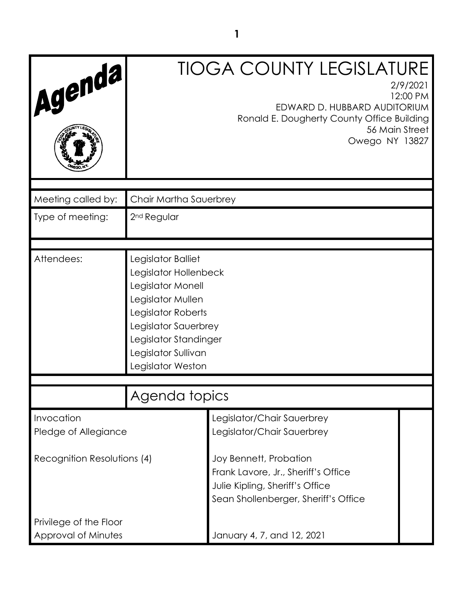| Agenda,                            |                                                                                                                                                                                                          | <b>TIOGA COUNTY LEGISLATURE</b><br>2/9/2021<br>12:00 PM<br>EDWARD D. HUBBARD AUDITORIUM<br>Ronald E. Dougherty County Office Building<br>56 Main Street<br>Owego NY 13827 |  |
|------------------------------------|----------------------------------------------------------------------------------------------------------------------------------------------------------------------------------------------------------|---------------------------------------------------------------------------------------------------------------------------------------------------------------------------|--|
| Meeting called by:                 | Chair Martha Sauerbrey                                                                                                                                                                                   |                                                                                                                                                                           |  |
| Type of meeting:                   | 2 <sup>nd</sup> Regular                                                                                                                                                                                  |                                                                                                                                                                           |  |
| Attendees:                         | Legislator Balliet<br>Legislator Hollenbeck<br>Legislator Monell<br>Legislator Mullen<br>Legislator Roberts<br>Legislator Sauerbrey<br>Legislator Standinger<br>Legislator Sullivan<br>Legislator Weston |                                                                                                                                                                           |  |
|                                    | Agenda topics                                                                                                                                                                                            |                                                                                                                                                                           |  |
| Invocation<br>Pledge of Allegiance |                                                                                                                                                                                                          | Legislator/Chair Sauerbrey<br>Legislator/Chair Sauerbrey                                                                                                                  |  |
| Recognition Resolutions (4)        |                                                                                                                                                                                                          | Joy Bennett, Probation<br>Frank Lavore, Jr., Sheriff's Office<br>Julie Kipling, Sheriff's Office<br>Sean Shollenberger, Sheriff's Office                                  |  |
| Privilege of the Floor             |                                                                                                                                                                                                          |                                                                                                                                                                           |  |
| Approval of Minutes                |                                                                                                                                                                                                          | January 4, 7, and 12, 2021                                                                                                                                                |  |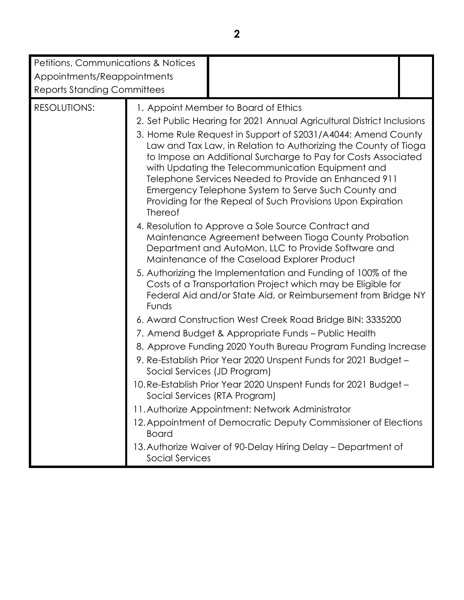| Petitions, Communications & Notices<br>Appointments/Reappointments<br><b>Reports Standing Committees</b> |                                                                                                                                                                                                                                                                                                                                                                                                                                                                                                                                                                                                                            |  |
|----------------------------------------------------------------------------------------------------------|----------------------------------------------------------------------------------------------------------------------------------------------------------------------------------------------------------------------------------------------------------------------------------------------------------------------------------------------------------------------------------------------------------------------------------------------------------------------------------------------------------------------------------------------------------------------------------------------------------------------------|--|
| <b>RESOLUTIONS:</b>                                                                                      | 1. Appoint Member to Board of Ethics<br>2. Set Public Hearing for 2021 Annual Agricultural District Inclusions<br>3. Home Rule Request in Support of S2031/A4044: Amend County<br>Law and Tax Law, in Relation to Authorizing the County of Tioga<br>to Impose an Additional Surcharge to Pay for Costs Associated<br>with Updating the Telecommunication Equipment and<br>Telephone Services Needed to Provide an Enhanced 911<br>Emergency Telephone System to Serve Such County and<br>Providing for the Repeal of Such Provisions Upon Expiration<br>Thereof                                                           |  |
|                                                                                                          | 4. Resolution to Approve a Sole Source Contract and<br>Maintenance Agreement between Tioga County Probation<br>Department and AutoMon, LLC to Provide Software and<br>Maintenance of the Caseload Explorer Product<br>5. Authorizing the Implementation and Funding of 100% of the<br>Costs of a Transportation Project which may be Eligible for<br>Federal Aid and/or State Aid, or Reimbursement from Bridge NY<br>Funds                                                                                                                                                                                                |  |
|                                                                                                          | 6. Award Construction West Creek Road Bridge BIN: 3335200<br>7. Amend Budget & Appropriate Funds - Public Health<br>8. Approve Funding 2020 Youth Bureau Program Funding Increase<br>9. Re-Establish Prior Year 2020 Unspent Funds for 2021 Budget -<br>Social Services (JD Program)<br>10. Re-Establish Prior Year 2020 Unspent Funds for 2021 Budget -<br>Social Services (RTA Program)<br>11. Authorize Appointment: Network Administrator<br>12. Appointment of Democratic Deputy Commissioner of Elections<br><b>Board</b><br>13. Authorize Waiver of 90-Delay Hiring Delay - Department of<br><b>Social Services</b> |  |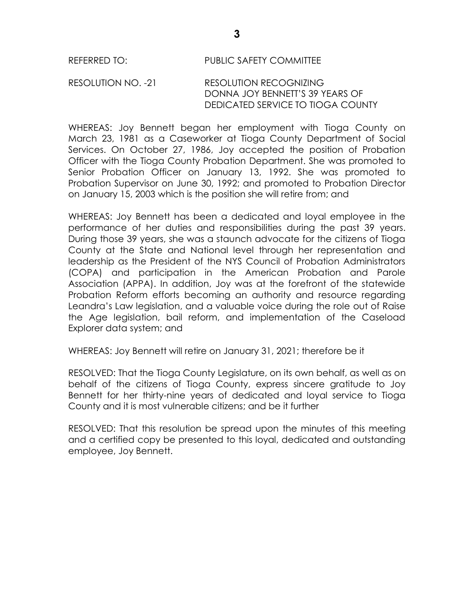# REFERRED TO: PUBLIC SAFETY COMMITTEE

# RESOLUTION NO. -21 RESOLUTION RECOGNIZING DONNA JOY BENNETT'S 39 YEARS OF DEDICATED SERVICE TO TIOGA COUNTY

WHEREAS: Joy Bennett began her employment with Tioga County on March 23, 1981 as a Caseworker at Tioga County Department of Social Services. On October 27, 1986, Joy accepted the position of Probation Officer with the Tioga County Probation Department. She was promoted to Senior Probation Officer on January 13, 1992. She was promoted to Probation Supervisor on June 30, 1992; and promoted to Probation Director on January 15, 2003 which is the position she will retire from; and

WHEREAS: Joy Bennett has been a dedicated and loyal employee in the performance of her duties and responsibilities during the past 39 years. During those 39 years, she was a staunch advocate for the citizens of Tioga County at the State and National level through her representation and leadership as the President of the NYS Council of Probation Administrators (COPA) and participation in the American Probation and Parole Association (APPA). In addition, Joy was at the forefront of the statewide Probation Reform efforts becoming an authority and resource regarding Leandra's Law legislation, and a valuable voice during the role out of Raise the Age legislation, bail reform, and implementation of the Caseload Explorer data system; and

WHEREAS: Joy Bennett will retire on January 31, 2021; therefore be it

RESOLVED: That the Tioga County Legislature, on its own behalf, as well as on behalf of the citizens of Tioga County, express sincere gratitude to Joy Bennett for her thirty-nine years of dedicated and loyal service to Tioga County and it is most vulnerable citizens; and be it further

RESOLVED: That this resolution be spread upon the minutes of this meeting and a certified copy be presented to this loyal, dedicated and outstanding employee, Joy Bennett.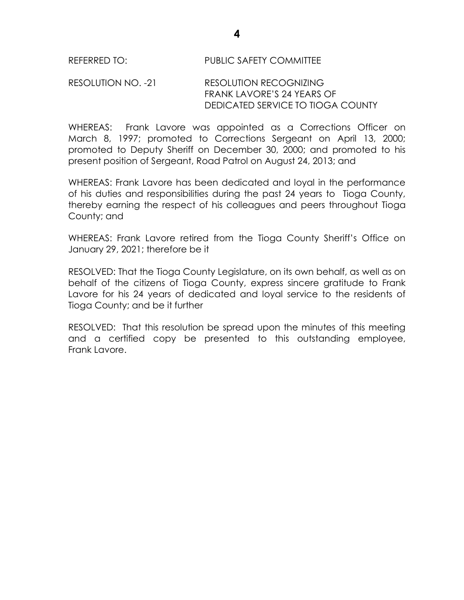# RESOLUTION NO. -21 RESOLUTION RECOGNIZING FRANK LAVORE'S 24 YEARS OF DEDICATED SERVICE TO TIOGA COUNTY

WHEREAS: Frank Lavore was appointed as a Corrections Officer on March 8, 1997; promoted to Corrections Sergeant on April 13, 2000; promoted to Deputy Sheriff on December 30, 2000; and promoted to his present position of Sergeant, Road Patrol on August 24, 2013; and

WHEREAS: Frank Lavore has been dedicated and loyal in the performance of his duties and responsibilities during the past 24 years to Tioga County, thereby earning the respect of his colleagues and peers throughout Tioga County; and

WHEREAS: Frank Lavore retired from the Tioga County Sheriff's Office on January 29, 2021; therefore be it

RESOLVED: That the Tioga County Legislature, on its own behalf, as well as on behalf of the citizens of Tioga County, express sincere gratitude to Frank Lavore for his 24 years of dedicated and loyal service to the residents of Tioga County; and be it further

RESOLVED: That this resolution be spread upon the minutes of this meeting and a certified copy be presented to this outstanding employee, Frank Lavore.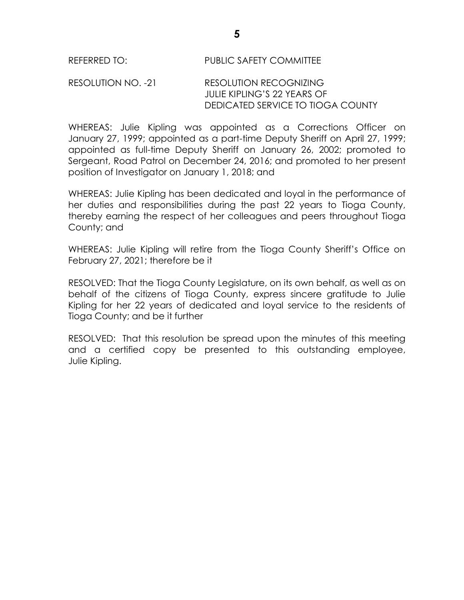# RESOLUTION NO. -21 RESOLUTION RECOGNIZING JULIE KIPLING'S 22 YEARS OF DEDICATED SERVICE TO TIOGA COUNTY

WHEREAS: Julie Kipling was appointed as a Corrections Officer on January 27, 1999; appointed as a part-time Deputy Sheriff on April 27, 1999; appointed as full-time Deputy Sheriff on January 26, 2002; promoted to Sergeant, Road Patrol on December 24, 2016; and promoted to her present position of Investigator on January 1, 2018; and

WHEREAS: Julie Kipling has been dedicated and loyal in the performance of her duties and responsibilities during the past 22 years to Tioga County, thereby earning the respect of her colleagues and peers throughout Tioga County; and

WHEREAS: Julie Kipling will retire from the Tioga County Sheriff's Office on February 27, 2021; therefore be it

RESOLVED: That the Tioga County Legislature, on its own behalf, as well as on behalf of the citizens of Tioga County, express sincere gratitude to Julie Kipling for her 22 years of dedicated and loyal service to the residents of Tioga County; and be it further

RESOLVED: That this resolution be spread upon the minutes of this meeting and a certified copy be presented to this outstanding employee, Julie Kipling.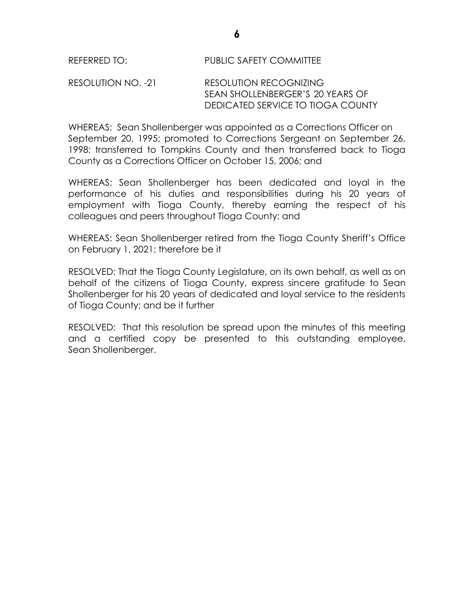# RESOLUTION NO. -21 RESOLUTION RECOGNIZING SEAN SHOLLENBERGER'S 20 YEARS OF DEDICATED SERVICE TO TIOGA COUNTY

WHEREAS: Sean Shollenberger was appointed as a Corrections Officer on September 20, 1995; promoted to Corrections Sergeant on September 26, 1998; transferred to Tompkins County and then transferred back to Tioga County as a Corrections Officer on October 15, 2006; and

WHEREAS: Sean Shollenberger has been dedicated and loyal in the performance of his duties and responsibilities during his 20 years of employment with Tioga County, thereby earning the respect of his colleagues and peers throughout Tioga County; and

WHEREAS: Sean Shollenberger retired from the Tioga County Sheriff's Office on February 1, 2021; therefore be it

RESOLVED: That the Tioga County Legislature, on its own behalf, as well as on behalf of the citizens of Tioga County, express sincere gratitude to Sean Shollenberger for his 20 years of dedicated and loyal service to the residents of Tioga County; and be it further

RESOLVED: That this resolution be spread upon the minutes of this meeting and a certified copy be presented to this outstanding employee, Sean Shollenberger.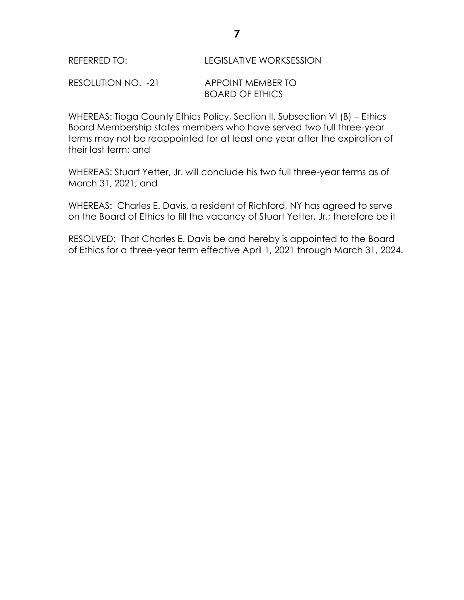| REFERRED TO: | <b>LEGISLATIVE WORKSESSION</b> |
|--------------|--------------------------------|
|              |                                |

RESOLUTION NO. -21 APPOINT MEMBER TO BOARD OF ETHICS

WHEREAS: Tioga County Ethics Policy, Section II, Subsection VI (B) – Ethics Board Membership states members who have served two full three-year terms may not be reappointed for at least one year after the expiration of their last term; and

WHEREAS: Stuart Yetter, Jr. will conclude his two full three-year terms as of March 31, 2021; and

WHEREAS: Charles E. Davis, a resident of Richford, NY has agreed to serve on the Board of Ethics to fill the vacancy of Stuart Yetter, Jr.; therefore be it

RESOLVED: That Charles E. Davis be and hereby is appointed to the Board of Ethics for a three-year term effective April 1, 2021 through March 31, 2024.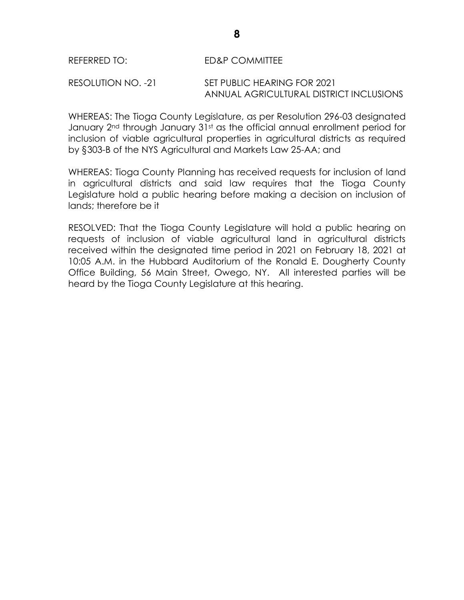# REFERRED TO: ED&P COMMITTEE

#### RESOLUTION NO. -21 SET PUBLIC HEARING FOR 2021 ANNUAL AGRICULTURAL DISTRICT INCLUSIONS

WHEREAS: The Tioga County Legislature, as per Resolution 296-03 designated January 2<sup>nd</sup> through January 31<sup>st</sup> as the official annual enrollment period for inclusion of viable agricultural properties in agricultural districts as required by §303-B of the NYS Agricultural and Markets Law 25-AA; and

WHEREAS: Tioga County Planning has received requests for inclusion of land in agricultural districts and said law requires that the Tioga County Legislature hold a public hearing before making a decision on inclusion of lands; therefore be it

RESOLVED: That the Tioga County Legislature will hold a public hearing on requests of inclusion of viable agricultural land in agricultural districts received within the designated time period in 2021 on February 18, 2021 at 10:05 A.M. in the Hubbard Auditorium of the Ronald E. Dougherty County Office Building, 56 Main Street, Owego, NY. All interested parties will be heard by the Tioga County Legislature at this hearing.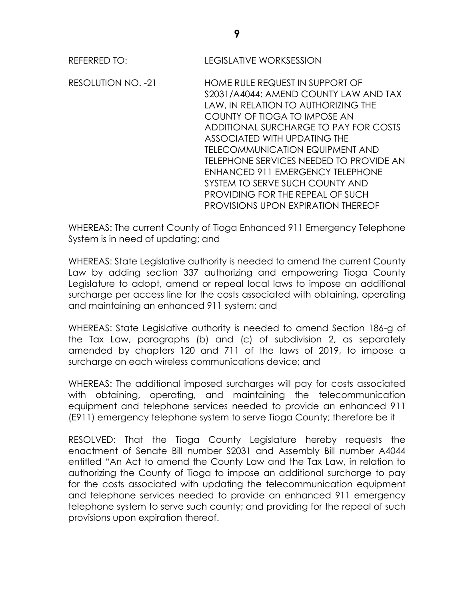**REFERRED TO:** REFERRED TO: LEGISLATIVE WORKSESSION

RESOLUTION NO. -21 HOME RULE REQUEST IN SUPPORT OF S2031/A4044: AMEND COUNTY LAW AND TAX LAW, IN RELATION TO AUTHORIZING THE COUNTY OF TIOGA TO IMPOSE AN ADDITIONAL SURCHARGE TO PAY FOR COSTS ASSOCIATED WITH UPDATING THE TELECOMMUNICATION EQUIPMENT AND TELEPHONE SERVICES NEEDED TO PROVIDE AN ENHANCED 911 EMERGENCY TELEPHONE SYSTEM TO SERVE SUCH COUNTY AND PROVIDING FOR THE REPEAL OF SUCH PROVISIONS UPON EXPIRATION THEREOF

WHEREAS: The current County of Tioga Enhanced 911 Emergency Telephone System is in need of updating; and

WHEREAS: State Legislative authority is needed to amend the current County Law by adding section 337 authorizing and empowering Tioga County Legislature to adopt, amend or repeal local laws to impose an additional surcharge per access line for the costs associated with obtaining, operating and maintaining an enhanced 911 system; and

WHEREAS: State Legislative authority is needed to amend Section 186-g of the Tax Law, paragraphs (b) and (c) of subdivision 2, as separately amended by chapters 120 and 711 of the laws of 2019, to impose a surcharge on each wireless communications device; and

WHEREAS: The additional imposed surcharges will pay for costs associated with obtaining, operating, and maintaining the telecommunication equipment and telephone services needed to provide an enhanced 911 (E911) emergency telephone system to serve Tioga County; therefore be it

RESOLVED: That the Tioga County Legislature hereby requests the enactment of Senate Bill number S2031 and Assembly Bill number A4044 entitled "An Act to amend the County Law and the Tax Law, in relation to authorizing the County of Tioga to impose an additional surcharge to pay for the costs associated with updating the telecommunication equipment and telephone services needed to provide an enhanced 911 emergency telephone system to serve such county; and providing for the repeal of such provisions upon expiration thereof.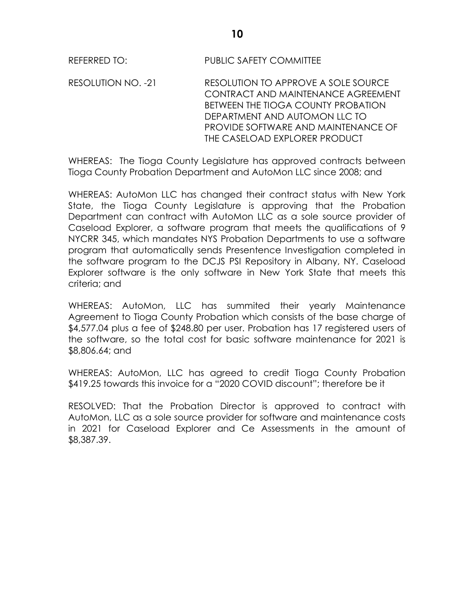REFERRED TO: PUBLIC SAFETY COMMITTEE

RESOLUTION NO. -21 RESOLUTION TO APPROVE A SOLE SOURCE CONTRACT AND MAINTENANCE AGREEMENT BETWEEN THE TIOGA COUNTY PROBATION DEPARTMENT AND AUTOMON LLC TO PROVIDE SOFTWARE AND MAINTENANCE OF THE CASELOAD EXPLORER PRODUCT

WHEREAS: The Tioga County Legislature has approved contracts between Tioga County Probation Department and AutoMon LLC since 2008; and

WHEREAS: AutoMon LLC has changed their contract status with New York State, the Tioga County Legislature is approving that the Probation Department can contract with AutoMon LLC as a sole source provider of Caseload Explorer, a software program that meets the qualifications of 9 NYCRR 345, which mandates NYS Probation Departments to use a software program that automatically sends Presentence Investigation completed in the software program to the DCJS PSI Repository in Albany, NY. Caseload Explorer software is the only software in New York State that meets this criteria; and

WHEREAS: AutoMon, LLC has summited their yearly Maintenance Agreement to Tioga County Probation which consists of the base charge of \$4,577.04 plus a fee of \$248.80 per user. Probation has 17 registered users of the software, so the total cost for basic software maintenance for 2021 is \$8,806.64; and

WHEREAS: AutoMon, LLC has agreed to credit Tioga County Probation \$419.25 towards this invoice for a "2020 COVID discount"; therefore be it

RESOLVED: That the Probation Director is approved to contract with AutoMon, LLC as a sole source provider for software and maintenance costs in 2021 for Caseload Explorer and Ce Assessments in the amount of \$8,387.39.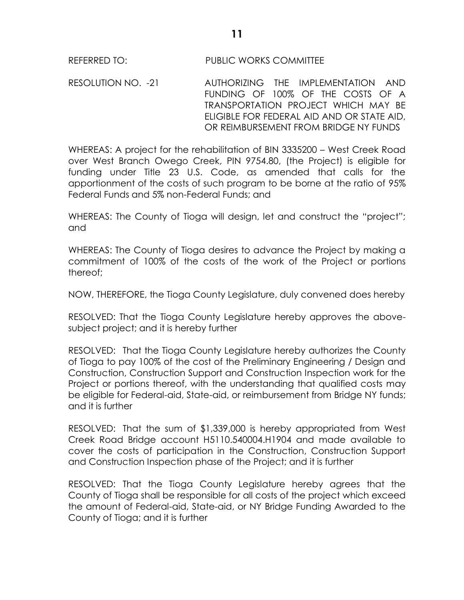RESOLUTION NO. -21 AUTHORIZING THE IMPLEMENTATION AND FUNDING OF 100% OF THE COSTS OF A TRANSPORTATION PROJECT WHICH MAY BE ELIGIBLE FOR FEDERAL AID AND OR STATE AID, OR REIMBURSEMENT FROM BRIDGE NY FUNDS

WHEREAS: A project for the rehabilitation of BIN 3335200 – West Creek Road over West Branch Owego Creek, PIN 9754.80, (the Project) is eligible for funding under Title 23 U.S. Code, as amended that calls for the apportionment of the costs of such program to be borne at the ratio of 95% Federal Funds and 5% non-Federal Funds; and

WHEREAS: The County of Tioga will design, let and construct the "project"; and

WHEREAS: The County of Tioga desires to advance the Project by making a commitment of 100% of the costs of the work of the Project or portions thereof;

NOW, THEREFORE, the Tioga County Legislature, duly convened does hereby

RESOLVED: That the Tioga County Legislature hereby approves the abovesubject project; and it is hereby further

RESOLVED: That the Tioga County Legislature hereby authorizes the County of Tioga to pay 100% of the cost of the Preliminary Engineering / Design and Construction, Construction Support and Construction Inspection work for the Project or portions thereof, with the understanding that qualified costs may be eligible for Federal-aid, State-aid, or reimbursement from Bridge NY funds; and it is further

RESOLVED: That the sum of \$1,339,000 is hereby appropriated from West Creek Road Bridge account H5110.540004.H1904 and made available to cover the costs of participation in the Construction, Construction Support and Construction Inspection phase of the Project; and it is further

RESOLVED: That the Tioga County Legislature hereby agrees that the County of Tioga shall be responsible for all costs of the project which exceed the amount of Federal-aid, State-aid, or NY Bridge Funding Awarded to the County of Tioga; and it is further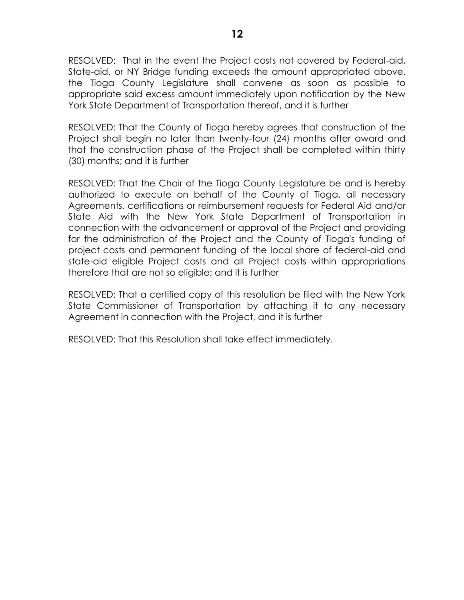RESOLVED: That in the event the Project costs not covered by Federal-aid, State-aid, or NY Bridge funding exceeds the amount appropriated above, the Tioga County Legislature shall convene as soon as possible to appropriate said excess amount immediately upon notification by the New York State Department of Transportation thereof, and it is further

RESOLVED: That the County of Tioga hereby agrees that construction of the Project shall begin no later than twenty-four (24) months after award and that the construction phase of the Project shall be completed within thirty (30) months; and it is further

RESOLVED: That the Chair of the Tioga County Legislature be and is hereby authorized to execute on behalf of the County of Tioga, all necessary Agreements, certifications or reimbursement requests for Federal Aid and/or State Aid with the New York State Department of Transportation in connection with the advancement or approval of the Project and providing for the administration of the Project and the County of Tioga's funding of project costs and permanent funding of the local share of federal-aid and state-aid eligible Project costs and all Project costs within appropriations therefore that are not so eligible; and it is further

RESOLVED: That a certified copy of this resolution be filed with the New York State Commissioner of Transportation by attaching it to any necessary Agreement in connection with the Project, and it is further

RESOLVED: That this Resolution shall take effect immediately.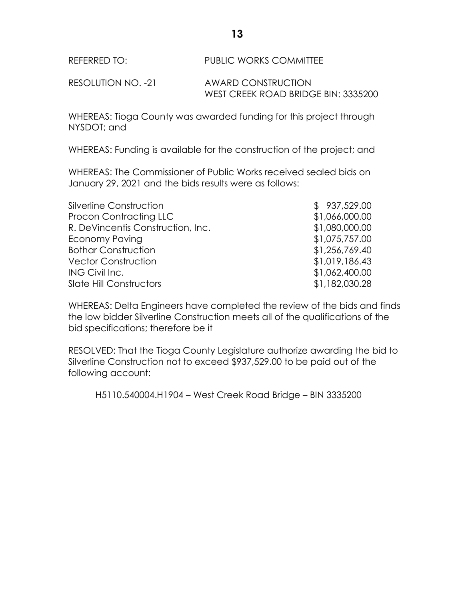REFERRED TO: PUBLIC WORKS COMMITTEE

RESOLUTION NO. -21 AWARD CONSTRUCTION WEST CREEK ROAD BRIDGE BIN: 3335200

WHEREAS: Tioga County was awarded funding for this project through NYSDOT; and

WHEREAS: Funding is available for the construction of the project; and

WHEREAS: The Commissioner of Public Works received sealed bids on January 29, 2021 and the bids results were as follows:

| Silverline Construction           | \$937,529.00   |
|-----------------------------------|----------------|
| <b>Procon Contracting LLC</b>     | \$1,066,000.00 |
| R. DeVincentis Construction, Inc. | \$1,080,000.00 |
| <b>Economy Paving</b>             | \$1,075,757.00 |
| <b>Bothar Construction</b>        | \$1,256,769.40 |
| <b>Vector Construction</b>        | \$1,019,186.43 |
| ING Civil Inc.                    | \$1,062,400.00 |
| <b>Slate Hill Constructors</b>    | \$1,182,030.28 |

WHEREAS: Delta Engineers have completed the review of the bids and finds the low bidder Silverline Construction meets all of the qualifications of the bid specifications; therefore be it

RESOLVED: That the Tioga County Legislature authorize awarding the bid to Silverline Construction not to exceed \$937,529.00 to be paid out of the following account:

H5110.540004.H1904 – West Creek Road Bridge – BIN 3335200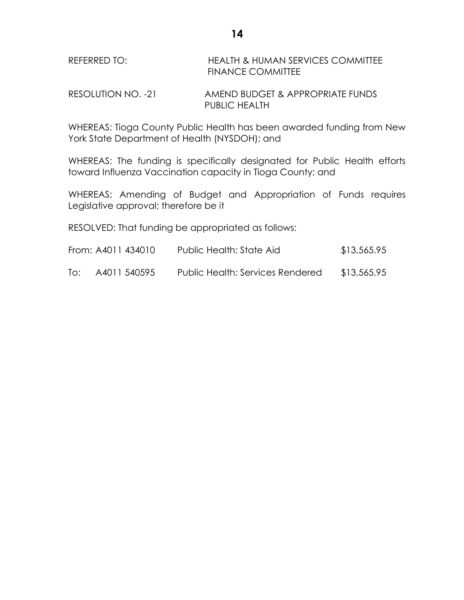| REFERRED TO: | <b>HEALTH &amp; HUMAN SERVICES COMMITTEE</b> |
|--------------|----------------------------------------------|
|              | <b>FINANCE COMMITTEE</b>                     |

RESOLUTION NO. -21 AMEND BUDGET & APPROPRIATE FUNDS PUBLIC HEALTH

WHEREAS: Tioga County Public Health has been awarded funding from New York State Department of Health (NYSDOH); and

WHEREAS: The funding is specifically designated for Public Health efforts toward Influenza Vaccination capacity in Tioga County; and

WHEREAS: Amending of Budget and Appropriation of Funds requires Legislative approval; therefore be it

RESOLVED: That funding be appropriated as follows:

| From: A4011 434010 | Public Health: State Aid | \$13,565.95 |
|--------------------|--------------------------|-------------|
|                    |                          |             |

To: A4011 540595 Public Health: Services Rendered \$13,565.95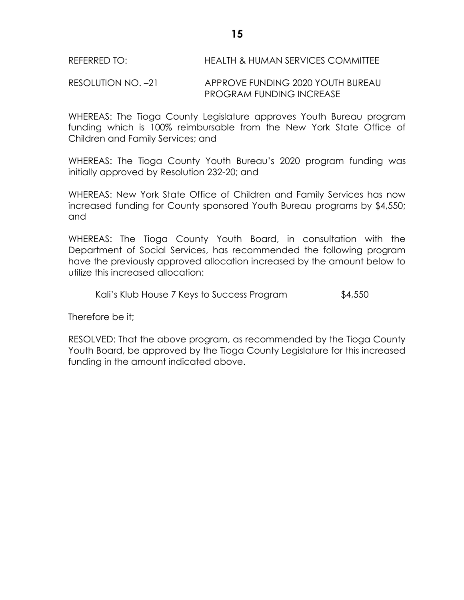RESOLUTION NO. –21 APPROVE FUNDING 2020 YOUTH BUREAU PROGRAM FUNDING INCREASE

WHEREAS: The Tioga County Legislature approves Youth Bureau program funding which is 100% reimbursable from the New York State Office of Children and Family Services; and

WHEREAS: The Tioga County Youth Bureau's 2020 program funding was initially approved by Resolution 232-20; and

WHEREAS: New York State Office of Children and Family Services has now increased funding for County sponsored Youth Bureau programs by \$4,550; and

WHEREAS: The Tioga County Youth Board, in consultation with the Department of Social Services, has recommended the following program have the previously approved allocation increased by the amount below to utilize this increased allocation:

Kali's Klub House 7 Keys to Success Program \$4,550

Therefore be it;

RESOLVED: That the above program, as recommended by the Tioga County Youth Board, be approved by the Tioga County Legislature for this increased funding in the amount indicated above.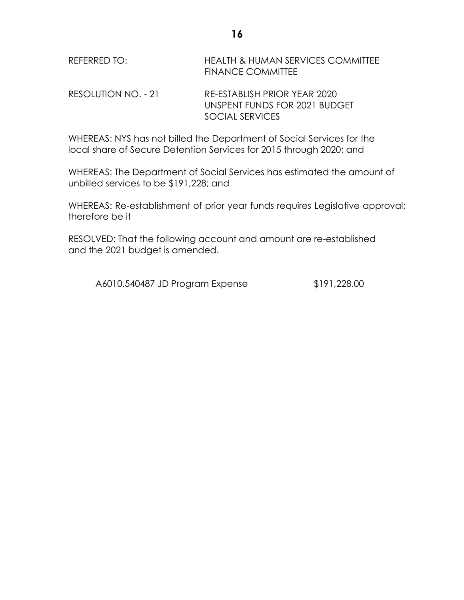| REFERRED TO: | <b>HEALTH &amp; HUMAN SERVICES COMMITTEE</b> |
|--------------|----------------------------------------------|
|              | <b>FINANCE COMMITTEE</b>                     |
|              |                                              |

RESOLUTION NO. - 21 RE-ESTABLISH PRIOR YEAR 2020 UNSPENT FUNDS FOR 2021 BUDGET SOCIAL SERVICES

WHEREAS: NYS has not billed the Department of Social Services for the local share of Secure Detention Services for 2015 through 2020; and

WHEREAS: The Department of Social Services has estimated the amount of unbilled services to be \$191,228; and

WHEREAS: Re-establishment of prior year funds requires Legislative approval; therefore be it

RESOLVED: That the following account and amount are re-established and the 2021 budget is amended.

A6010.540487 JD Program Expense \$191,228.00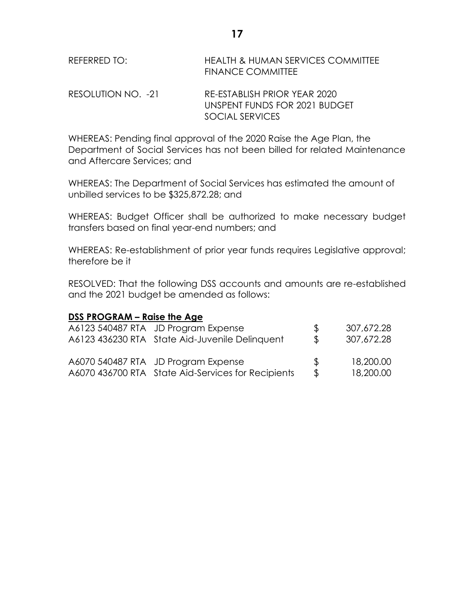| REFERRED TO: | <b>HEALTH &amp; HUMAN SERVICES COMMITTEE</b> |
|--------------|----------------------------------------------|
|              | <b>FINANCE COMMITTEE</b>                     |
|              |                                              |

RESOLUTION NO. -21 RE-ESTABLISH PRIOR YEAR 2020 UNSPENT FUNDS FOR 2021 BUDGET SOCIAL SERVICES

WHEREAS: Pending final approval of the 2020 Raise the Age Plan, the Department of Social Services has not been billed for related Maintenance and Aftercare Services; and

WHEREAS: The Department of Social Services has estimated the amount of unbilled services to be \$325,872.28; and

WHEREAS: Budget Officer shall be authorized to make necessary budget transfers based on final year-end numbers; and

WHEREAS: Re-establishment of prior year funds requires Legislative approval; therefore be it

RESOLVED: That the following DSS accounts and amounts are re-established and the 2021 budget be amended as follows:

# **DSS PROGRAM – Raise the Age**

| A6123 540487 RTA JD Program Expense                | $\mathcal{P}$ | 307,672.28 |
|----------------------------------------------------|---------------|------------|
| A6123 436230 RTA State Aid-Juvenile Delinquent     | $\mathbb{S}$  | 307,672.28 |
| A6070 540487 RTA JD Program Expense                | $\mathcal{R}$ | 18,200.00  |
| A6070 436700 RTA State Aid-Services for Recipients | $\mathcal{L}$ | 18,200.00  |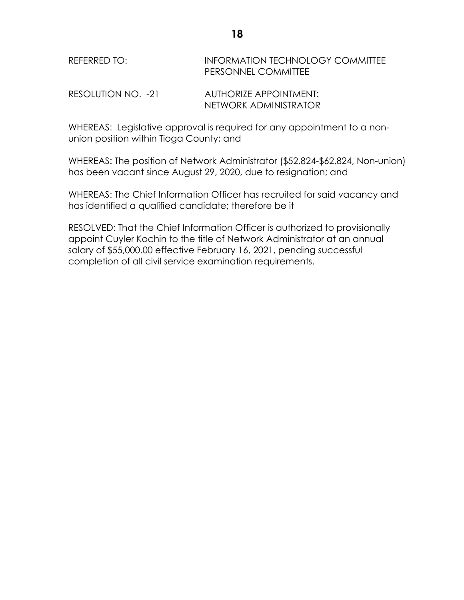# REFERRED TO: **INFORMATION TECHNOLOGY COMMITTEE** PERSONNEL COMMITTEE

RESOLUTION NO. -21 AUTHORIZE APPOINTMENT: NETWORK ADMINISTRATOR

WHEREAS: Legislative approval is required for any appointment to a nonunion position within Tioga County; and

WHEREAS: The position of Network Administrator (\$52,824-\$62,824, Non-union) has been vacant since August 29, 2020, due to resignation; and

WHEREAS: The Chief Information Officer has recruited for said vacancy and has identified a qualified candidate; therefore be it

RESOLVED: That the Chief Information Officer is authorized to provisionally appoint Cuyler Kochin to the title of Network Administrator at an annual salary of \$55,000.00 effective February 16, 2021, pending successful completion of all civil service examination requirements.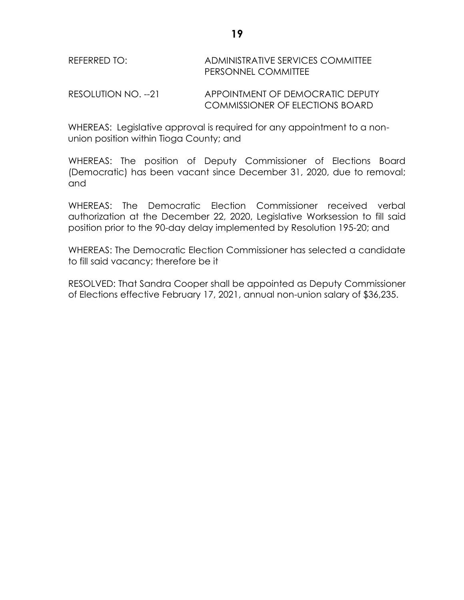| REFERRED TO: | ADMINISTRATIVE SERVICES COMMITTEE |
|--------------|-----------------------------------|
|              | <b>PERSONNEL COMMITTEE</b>        |
|              |                                   |

RESOLUTION NO. --21 APPOINTMENT OF DEMOCRATIC DEPUTY COMMISSIONER OF ELECTIONS BOARD

WHEREAS: Legislative approval is required for any appointment to a nonunion position within Tioga County; and

WHEREAS: The position of Deputy Commissioner of Elections Board (Democratic) has been vacant since December 31, 2020, due to removal; and

WHEREAS: The Democratic Election Commissioner received verbal authorization at the December 22, 2020, Legislative Worksession to fill said position prior to the 90-day delay implemented by Resolution 195-20; and

WHEREAS: The Democratic Election Commissioner has selected a candidate to fill said vacancy; therefore be it

RESOLVED: That Sandra Cooper shall be appointed as Deputy Commissioner of Elections effective February 17, 2021, annual non-union salary of \$36,235.